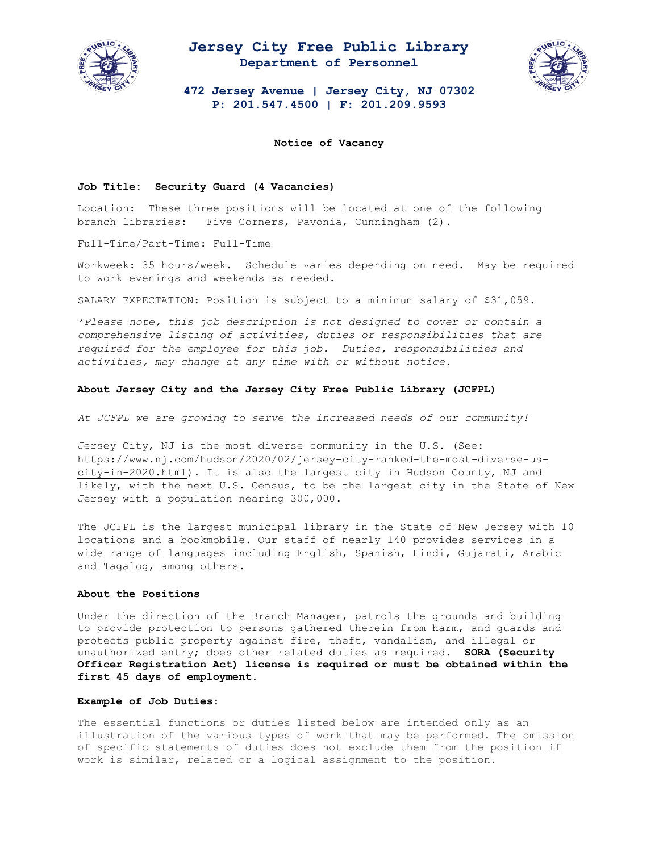

## **Jersey City Free Public Library Department of Personnel**



**472 Jersey Avenue | Jersey City, NJ 07302 P: 201.547.4500 | F: 201.209.9593**

**Notice of Vacancy**

#### **Job Title: Security Guard (4 Vacancies)**

Location: These three positions will be located at one of the following branch libraries: Five Corners, Pavonia, Cunningham (2).

Full-Time/Part-Time: Full-Time

Workweek: 35 hours/week. Schedule varies depending on need. May be required to work evenings and weekends as needed.

SALARY EXPECTATION: Position is subject to a minimum salary of \$31,059.

*\*Please note, this job description is not designed to cover or contain a comprehensive listing of activities, duties or responsibilities that are required for the employee for this job. Duties, responsibilities and activities, may change at any time with or without notice.* 

### **About Jersey City and the Jersey City Free Public Library (JCFPL)**

*At JCFPL we are growing to serve the increased needs of our community!*

Jersey City, NJ is the most diverse community in the U.S. (See: [https://www.nj.com/hudson/2020/02/jersey-city-ranked-the-most-diverse-us](https://www.nj.com/hudson/2020/02/jersey-city-ranked-the-most-diverse-us-city-in-2020.html)[city-in-2020.html\)](https://www.nj.com/hudson/2020/02/jersey-city-ranked-the-most-diverse-us-city-in-2020.html). It is also the largest city in Hudson County, NJ and likely, with the next U.S. Census, to be the largest city in the State of New Jersey with a population nearing 300,000.

The JCFPL is the largest municipal library in the State of New Jersey with 10 locations and a bookmobile. Our staff of nearly 140 provides services in a wide range of languages including English, Spanish, Hindi, Gujarati, Arabic and Tagalog, among others.

#### **About the Positions**

Under the direction of the Branch Manager, patrols the grounds and building to provide protection to persons gathered therein from harm, and guards and protects public property against fire, theft, vandalism, and illegal or unauthorized entry; does other related duties as required. **SORA (Security Officer Registration Act) license is required or must be obtained within the first 45 days of employment.** 

#### **Example of Job Duties:**

The essential functions or duties listed below are intended only as an illustration of the various types of work that may be performed. The omission of specific statements of duties does not exclude them from the position if work is similar, related or a logical assignment to the position.